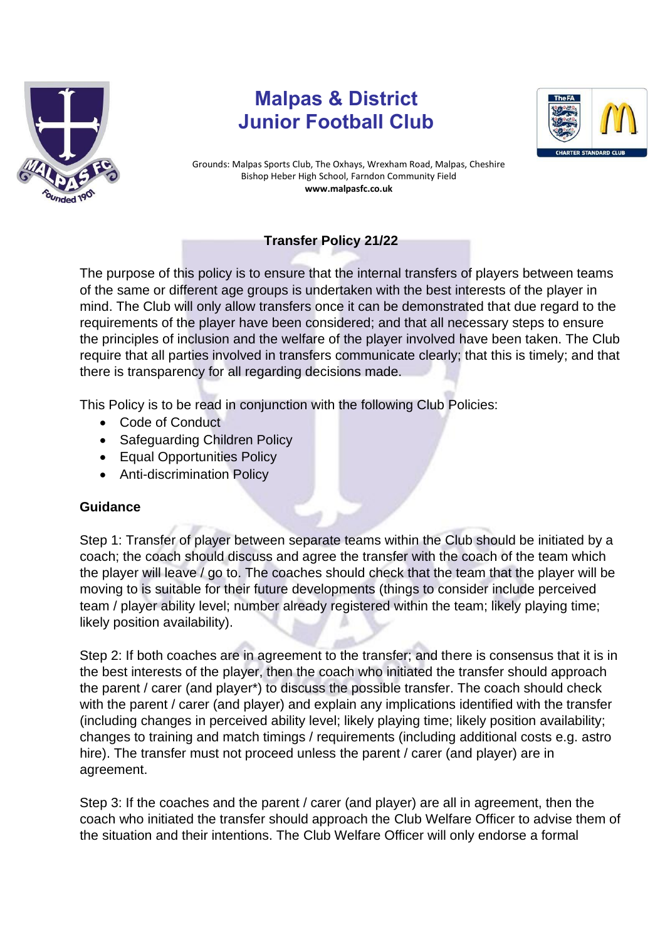

## **Malpas & District Junior Football Club**



Grounds: Malpas Sports Club, The Oxhays, Wrexham Road, Malpas, Cheshire Bishop Heber High School, Farndon Community Field **www.malpasfc.co.uk** 

## **Transfer Policy 21/22**

The purpose of this policy is to ensure that the internal transfers of players between teams of the same or different age groups is undertaken with the best interests of the player in mind. The Club will only allow transfers once it can be demonstrated that due regard to the requirements of the player have been considered; and that all necessary steps to ensure the principles of inclusion and the welfare of the player involved have been taken. The Club require that all parties involved in transfers communicate clearly; that this is timely; and that there is transparency for all regarding decisions made.

This Policy is to be read in conjunction with the following Club Policies:

- Code of Conduct
- Safeguarding Children Policy
- Equal Opportunities Policy
- Anti-discrimination Policy

## **Guidance**

Step 1: Transfer of player between separate teams within the Club should be initiated by a coach; the coach should discuss and agree the transfer with the coach of the team which the player will leave / go to. The coaches should check that the team that the player will be moving to is suitable for their future developments (things to consider include perceived team / player ability level; number already registered within the team; likely playing time; likely position availability).

Step 2: If both coaches are in agreement to the transfer; and there is consensus that it is in the best interests of the player, then the coach who initiated the transfer should approach the parent / carer (and player\*) to discuss the possible transfer. The coach should check with the parent / carer (and player) and explain any implications identified with the transfer (including changes in perceived ability level; likely playing time; likely position availability; changes to training and match timings / requirements (including additional costs e.g. astro hire). The transfer must not proceed unless the parent / carer (and player) are in agreement.

Step 3: If the coaches and the parent / carer (and player) are all in agreement, then the coach who initiated the transfer should approach the Club Welfare Officer to advise them of the situation and their intentions. The Club Welfare Officer will only endorse a formal